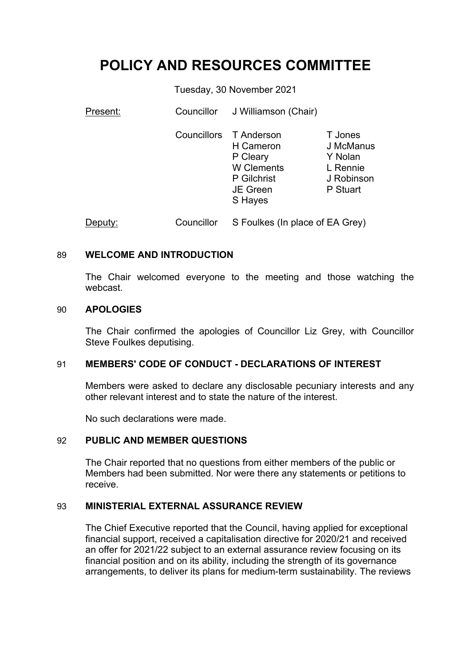# **POLICY AND RESOURCES COMMITTEE**

Tuesday, 30 November 2021

| Present: | Councillor         | J Williamson (Chair)                                                                           |                                                                       |
|----------|--------------------|------------------------------------------------------------------------------------------------|-----------------------------------------------------------------------|
|          | <b>Councillors</b> | T Anderson<br>H Cameron<br>P Cleary<br><b>W</b> Clements<br>P Gilchrist<br>JE Green<br>S Hayes | T Jones<br>J McManus<br>Y Nolan<br>L Rennie<br>J Robinson<br>P Stuart |
| Deputy:  | Councillor         | S Foulkes (In place of EA Grey)                                                                |                                                                       |

### 89 **WELCOME AND INTRODUCTION**

The Chair welcomed everyone to the meeting and those watching the webcast.

#### 90 **APOLOGIES**

The Chair confirmed the apologies of Councillor Liz Grey, with Councillor Steve Foulkes deputising.

## 91 **MEMBERS' CODE OF CONDUCT - DECLARATIONS OF INTEREST**

Members were asked to declare any disclosable pecuniary interests and any other relevant interest and to state the nature of the interest.

No such declarations were made.

### 92 **PUBLIC AND MEMBER QUESTIONS**

The Chair reported that no questions from either members of the public or Members had been submitted. Nor were there any statements or petitions to receive.

## 93 **MINISTERIAL EXTERNAL ASSURANCE REVIEW**

The Chief Executive reported that the Council, having applied for exceptional financial support, received a capitalisation directive for 2020/21 and received an offer for 2021/22 subject to an external assurance review focusing on its financial position and on its ability, including the strength of its governance arrangements, to deliver its plans for medium-term sustainability. The reviews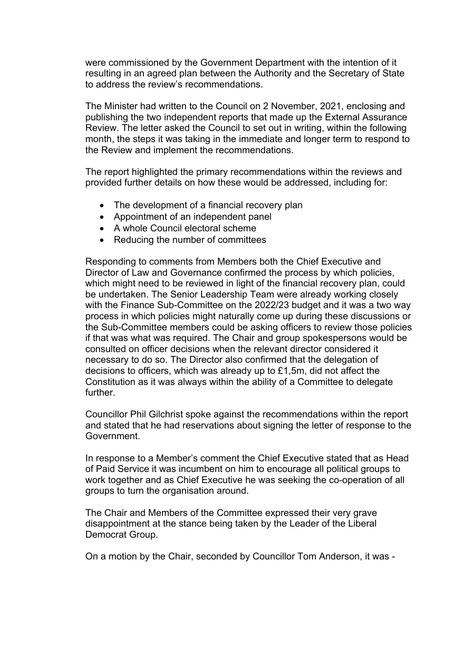were commissioned by the Government Department with the intention of it resulting in an agreed plan between the Authority and the Secretary of State to address the review's recommendations.

The Minister had written to the Council on 2 November, 2021, enclosing and publishing the two independent reports that made up the External Assurance Review. The letter asked the Council to set out in writing, within the following month, the steps it was taking in the immediate and longer term to respond to the Review and implement the recommendations.

The report highlighted the primary recommendations within the reviews and provided further details on how these would be addressed, including for:

- The development of a financial recovery plan
- Appointment of an independent panel
- A whole Council electoral scheme
- Reducing the number of committees

Responding to comments from Members both the Chief Executive and Director of Law and Governance confirmed the process by which policies, which might need to be reviewed in light of the financial recovery plan, could be undertaken. The Senior Leadership Team were already working closely with the Finance Sub-Committee on the 2022/23 budget and it was a two way process in which policies might naturally come up during these discussions or the Sub-Committee members could be asking officers to review those policies if that was what was required. The Chair and group spokespersons would be consulted on officer decisions when the relevant director considered it necessary to do so. The Director also confirmed that the delegation of decisions to officers, which was already up to £1,5m, did not affect the Constitution as it was always within the ability of a Committee to delegate further.

Councillor Phil Gilchrist spoke against the recommendations within the report and stated that he had reservations about signing the letter of response to the Government.

In response to a Member's comment the Chief Executive stated that as Head of Paid Service it was incumbent on him to encourage all political groups to work together and as Chief Executive he was seeking the co-operation of all groups to turn the organisation around.

The Chair and Members of the Committee expressed their very grave disappointment at the stance being taken by the Leader of the Liberal Democrat Group.

On a motion by the Chair, seconded by Councillor Tom Anderson, it was -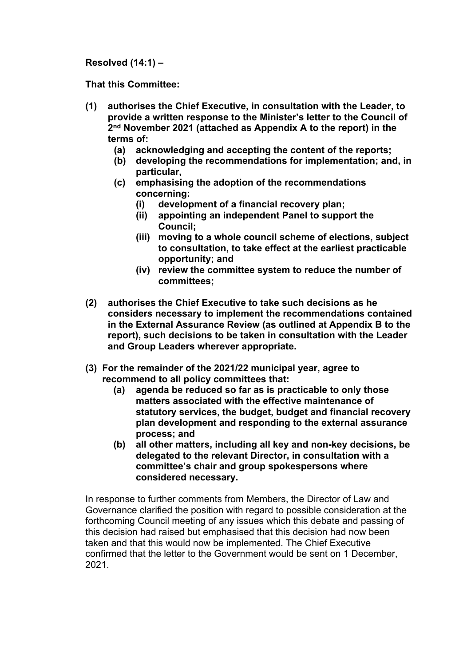**Resolved (14:1) –**

**That this Committee:**

- **(1) authorises the Chief Executive, in consultation with the Leader, to provide a written response to the Minister's letter to the Council of 2 nd November 2021 (attached as Appendix A to the report) in the terms of:**
	- **(a) acknowledging and accepting the content of the reports;**
	- **(b) developing the recommendations for implementation; and, in particular,**
	- **(c) emphasising the adoption of the recommendations concerning:**
		- **(i) development of a financial recovery plan;**
		- **(ii) appointing an independent Panel to support the Council;**
		- **(iii) moving to a whole council scheme of elections, subject to consultation, to take effect at the earliest practicable opportunity; and**
		- **(iv) review the committee system to reduce the number of committees;**
- **(2) authorises the Chief Executive to take such decisions as he considers necessary to implement the recommendations contained in the External Assurance Review (as outlined at Appendix B to the report), such decisions to be taken in consultation with the Leader and Group Leaders wherever appropriate.**
- **(3) For the remainder of the 2021/22 municipal year, agree to recommend to all policy committees that:**
	- **(a) agenda be reduced so far as is practicable to only those matters associated with the effective maintenance of statutory services, the budget, budget and financial recovery plan development and responding to the external assurance process; and**
	- **(b) all other matters, including all key and non-key decisions, be delegated to the relevant Director, in consultation with a committee's chair and group spokespersons where considered necessary.**

In response to further comments from Members, the Director of Law and Governance clarified the position with regard to possible consideration at the forthcoming Council meeting of any issues which this debate and passing of this decision had raised but emphasised that this decision had now been taken and that this would now be implemented. The Chief Executive confirmed that the letter to the Government would be sent on 1 December, 2021.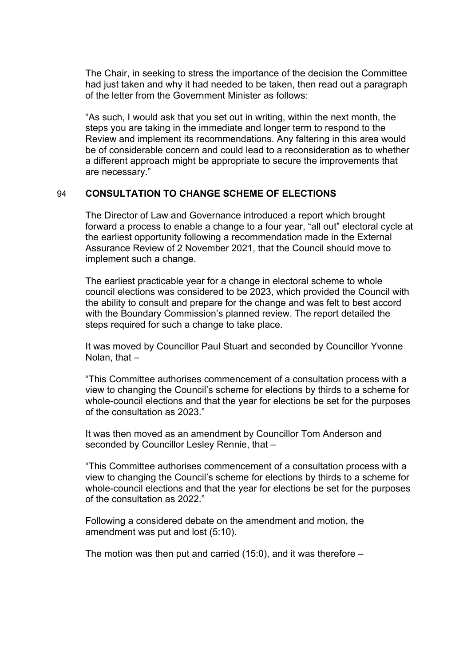The Chair, in seeking to stress the importance of the decision the Committee had just taken and why it had needed to be taken, then read out a paragraph of the letter from the Government Minister as follows:

"As such, I would ask that you set out in writing, within the next month, the steps you are taking in the immediate and longer term to respond to the Review and implement its recommendations. Any faltering in this area would be of considerable concern and could lead to a reconsideration as to whether a different approach might be appropriate to secure the improvements that are necessary."

## 94 **CONSULTATION TO CHANGE SCHEME OF ELECTIONS**

The Director of Law and Governance introduced a report which brought forward a process to enable a change to a four year, "all out" electoral cycle at the earliest opportunity following a recommendation made in the External Assurance Review of 2 November 2021, that the Council should move to implement such a change.

The earliest practicable year for a change in electoral scheme to whole council elections was considered to be 2023, which provided the Council with the ability to consult and prepare for the change and was felt to best accord with the Boundary Commission's planned review. The report detailed the steps required for such a change to take place.

It was moved by Councillor Paul Stuart and seconded by Councillor Yvonne Nolan, that –

"This Committee authorises commencement of a consultation process with a view to changing the Council's scheme for elections by thirds to a scheme for whole-council elections and that the year for elections be set for the purposes of the consultation as 2023."

It was then moved as an amendment by Councillor Tom Anderson and seconded by Councillor Lesley Rennie, that –

"This Committee authorises commencement of a consultation process with a view to changing the Council's scheme for elections by thirds to a scheme for whole-council elections and that the year for elections be set for the purposes of the consultation as 2022."

Following a considered debate on the amendment and motion, the amendment was put and lost (5:10).

The motion was then put and carried (15:0), and it was therefore –